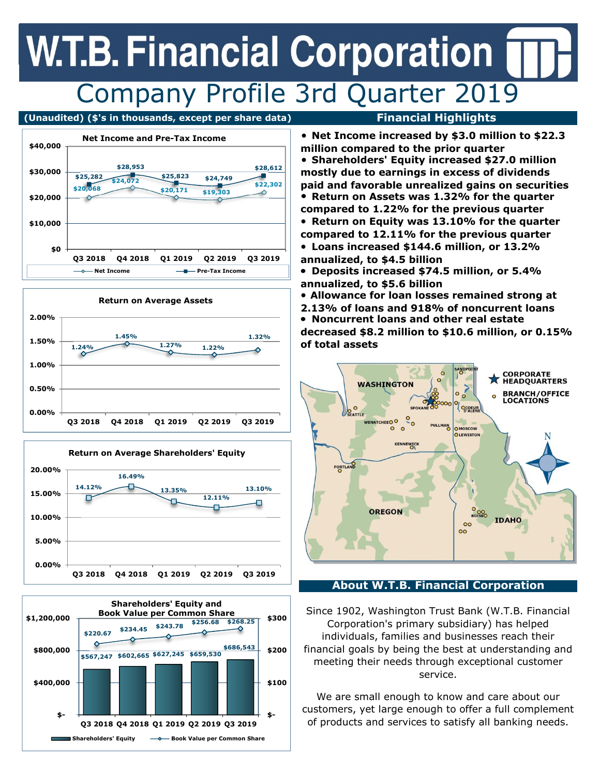## **W.T.B. Financial Corporation** Company Profile 3rd Quarter 2019

### **(Unaudited) (\$'s in thousands, except per share data) Financial Highlights**









**Net Income increased by \$3.0 million to \$22.3 million compared to the prior quarter Shareholders' Equity increased \$27.0 million mostly due to earnings in excess of dividends paid and favorable unrealized gains on securities Return on Assets was 1.32% for the quarter compared to 1.22% for the previous quarter Return on Equity was 13.10% for the quarter compared to 12.11% for the previous quarter Loans increased \$144.6 million, or 13.2%** 

- **annualized, to \$4.5 billion**
- **Deposits increased \$74.5 million, or 5.4% annualized, to \$5.6 billion**
- **Allowance for loan losses remained strong at**
- **2.13% of loans and 918% of noncurrent loans**
- **Noncurrent loans and other real estate**

**decreased \$8.2 million to \$10.6 million, or 0.15% of total assets** 



### **About W.T.B. Financial Corporation**

Since 1902, Washington Trust Bank (W.T.B. Financial Corporation's primary subsidiary) has helped individuals, families and businesses reach their financial goals by being the best at understanding and meeting their needs through exceptional customer service.

We are small enough to know and care about our customers, yet large enough to offer a full complement of products and services to satisfy all banking needs.